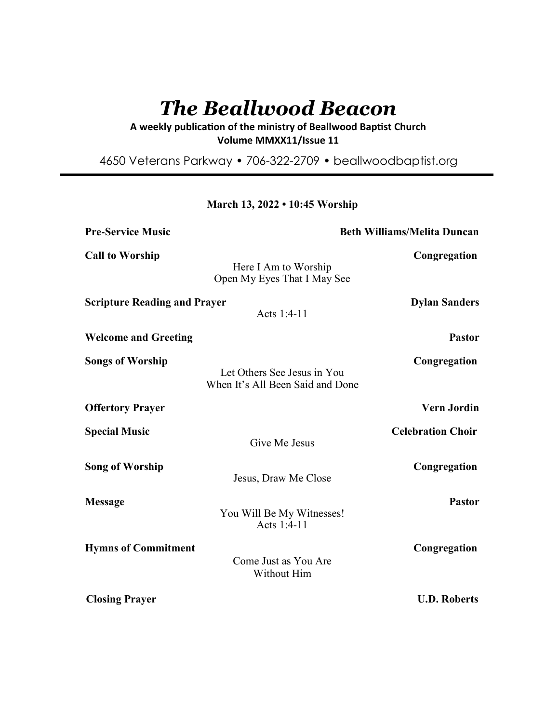# *The Beallwood Beacon*

A weekly publication of the ministry of Beallwood Baptist Church **Volume MMXX11/Issue 11** 

4650 Veterans Parkway • 706-322-2709 • beallwoodbaptist.org

**March 13, 2022 • 10:45 Worship**

**Pre-Service Music Beth Williams/Melita Duncan Call to Worship Congregation** Here I Am to Worship Open My Eyes That I May See **Scripture Reading and Prayer Constrainers Dylan Sanders** Acts 1:4-11 **Welcome and Greeting Pastor Songs of Worship Congregation** Let Others See Jesus in You When It's All Been Said and Done **Offertory Prayer Vern Jordin Special Music Celebration Choir** Give Me Jesus **Song of Worship Congregation** Jesus, Draw Me Close **Message Pastor** You Will Be My Witnesses! Acts 1:4-11 **Hymns of Commitment** Congregation Come Just as You Are Without Him

**Closing Prayer U.D. Roberts**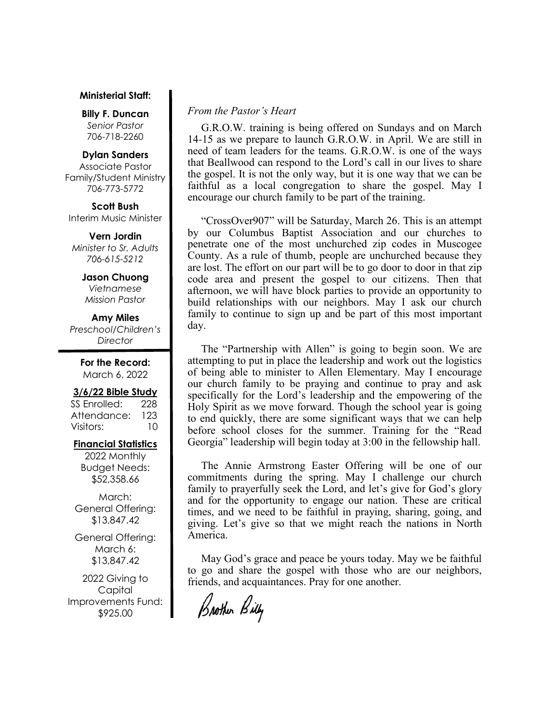## **Ministerial Staff:**

**Billy F. Duncan** *Senior Pastor*  706-718-2260

#### **Dylan Sanders**

Associate Pastor Family/Student Ministry 706-773-5772

**Scott Bush**  Interim Music Minister

**Vern Jordin** *Minister to Sr. Adults 706-615-5212* 

> **Jason Chuong**  *Vietnamese Mission Pastor*

**Amy Miles** *Preschool/Children's Director* 

> **For the Record:**  March 6, 2022

#### **3/6/22 Bible Study**

SS Enrolled: 228 Attendance: 123 Visitors: 10

## **Financial Statistics**

2022 Monthly Budget Needs: \$52,358.66

March: General Offering: \$13,847.42

General Offering: March 6: \$13,847.42

2022 Giving to Capital Improvements Fund: \$925.00

## *From the Pastor's Heart*

 G.R.O.W. training is being offered on Sundays and on March 14-15 as we prepare to launch G.R.O.W. in April. We are still in need of team leaders for the teams. G.R.O.W. is one of the ways that Beallwood can respond to the Lord's call in our lives to share the gospel. It is not the only way, but it is one way that we can be faithful as a local congregation to share the gospel. May I encourage our church family to be part of the training.

 "CrossOver907" will be Saturday, March 26. This is an attempt by our Columbus Baptist Association and our churches to penetrate one of the most unchurched zip codes in Muscogee County. As a rule of thumb, people are unchurched because they are lost. The effort on our part will be to go door to door in that zip code area and present the gospel to our citizens. Then that afternoon, we will have block parties to provide an opportunity to build relationships with our neighbors. May I ask our church family to continue to sign up and be part of this most important day.

 The "Partnership with Allen" is going to begin soon. We are attempting to put in place the leadership and work out the logistics of being able to minister to Allen Elementary. May I encourage our church family to be praying and continue to pray and ask specifically for the Lord's leadership and the empowering of the Holy Spirit as we move forward. Though the school year is going to end quickly, there are some significant ways that we can help before school closes for the summer. Training for the "Read Georgia" leadership will begin today at 3:00 in the fellowship hall.

 The Annie Armstrong Easter Offering will be one of our commitments during the spring. May I challenge our church family to prayerfully seek the Lord, and let's give for God's glory and for the opportunity to engage our nation. These are critical times, and we need to be faithful in praying, sharing, going, and giving. Let's give so that we might reach the nations in North America.

 May God's grace and peace be yours today. May we be faithful to go and share the gospel with those who are our neighbors, friends, and acquaintances. Pray for one another.

Brother Billy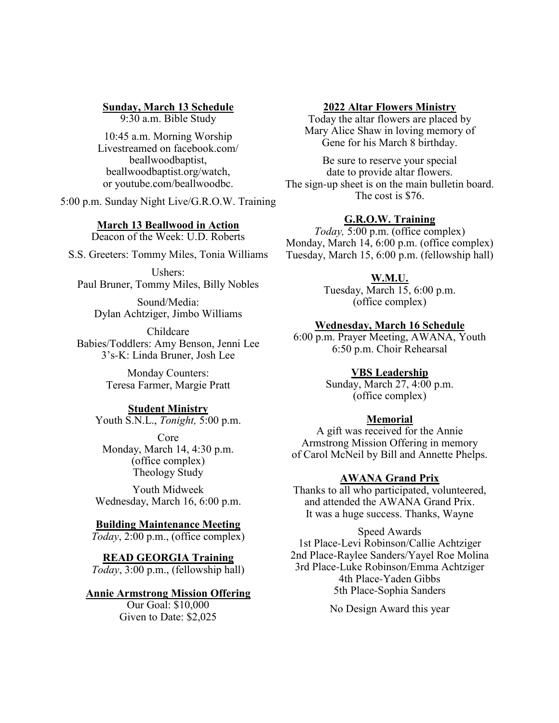# **Sunday, March 13 Schedule**

9:30 a.m. Bible Study

10:45 a.m. Morning Worship Livestreamed on facebook.com/ beallwoodbaptist, beallwoodbaptist.org/watch, or youtube.com/beallwoodbc.

5:00 p.m. Sunday Night Live/G.R.O.W. Training

## **March 13 Beallwood in Action**

Deacon of the Week: U.D. Roberts

S.S. Greeters: Tommy Miles, Tonia Williams

Ushers: Paul Bruner, Tommy Miles, Billy Nobles

Sound/Media: Dylan Achtziger, Jimbo Williams

Childcare Babies/Toddlers: Amy Benson, Jenni Lee 3's-K: Linda Bruner, Josh Lee

> Monday Counters: Teresa Farmer, Margie Pratt

# **Student Ministry**

Youth S.N.L., *Tonight,* 5:00 p.m.

Core Monday, March 14, 4:30 p.m. (office complex) Theology Study

Youth Midweek Wednesday, March 16, 6:00 p.m.

## **Building Maintenance Meeting**

*Today*, 2:00 p.m., (office complex)

**READ GEORGIA Training** *Today*, 3:00 p.m., (fellowship hall)

#### **Annie Armstrong Mission Offering**

Our Goal: \$10,000 Given to Date: \$2,025

## **2022 Altar Flowers Ministry**

Today the altar flowers are placed by Mary Alice Shaw in loving memory of Gene for his March 8 birthday.

Be sure to reserve your special date to provide altar flowers. The sign-up sheet is on the main bulletin board. The cost is \$76.

## **G.R.O.W. Training**

*Today,* 5:00 p.m. (office complex) Monday, March 14, 6:00 p.m. (office complex) Tuesday, March 15, 6:00 p.m. (fellowship hall)

## **W.M.U.**

Tuesday, March 15, 6:00 p.m. (office complex)

## **Wednesday, March 16 Schedule**

6:00 p.m. Prayer Meeting, AWANA, Youth 6:50 p.m. Choir Rehearsal

# **VBS Leadership**

Sunday, March 27, 4:00 p.m. (office complex)

## **Memorial**

A gift was received for the Annie Armstrong Mission Offering in memory of Carol McNeil by Bill and Annette Phelps.

## **AWANA Grand Prix**

Thanks to all who participated, volunteered, and attended the AWANA Grand Prix. It was a huge success. Thanks, Wayne

Speed Awards 1st Place-Levi Robinson/Callie Achtziger 2nd Place-Raylee Sanders/Yayel Roe Molina 3rd Place-Luke Robinson/Emma Achtziger 4th Place-Yaden Gibbs 5th Place-Sophia Sanders

No Design Award this year